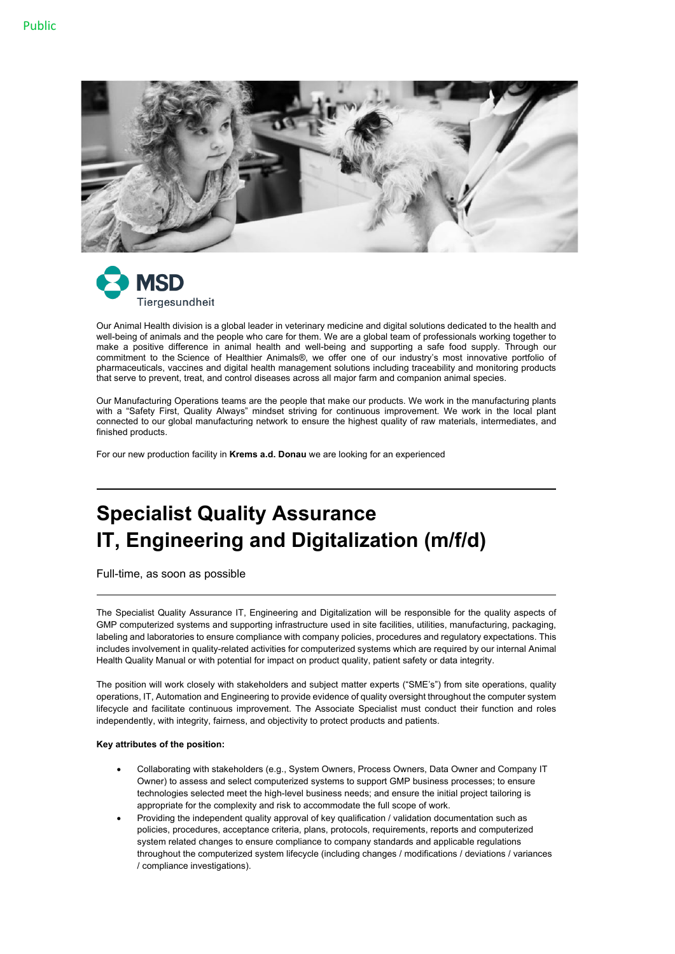



Our Animal Health division is a global leader in veterinary medicine and digital solutions dedicated to the health and well-being of animals and the people who care for them. We are a global team of professionals working together to make a positive difference in animal health and well-being and supporting a safe food supply. Through our commitment to the Science of Healthier Animals®, we offer one of our industry's most innovative portfolio of pharmaceuticals, vaccines and digital health management solutions including traceability and monitoring products that serve to prevent, treat, and control diseases across all major farm and companion animal species.

Our Manufacturing Operations teams are the people that make our products. We work in the manufacturing plants with a "Safety First, Quality Always" mindset striving for continuous improvement. We work in the local plant connected to our global manufacturing network to ensure the highest quality of raw materials, intermediates, and finished products.

For our new production facility in **Krems a.d. Donau** we are looking for an experienced

# **Specialist Quality Assurance IT, Engineering and Digitalization (m/f/d)**

Full-time, as soon as possible

The Specialist Quality Assurance IT, Engineering and Digitalization will be responsible for the quality aspects of GMP computerized systems and supporting infrastructure used in site facilities, utilities, manufacturing, packaging, labeling and laboratories to ensure compliance with company policies, procedures and regulatory expectations. This includes involvement in quality-related activities for computerized systems which are required by our internal Animal Health Quality Manual or with potential for impact on product quality, patient safety or data integrity.

The position will work closely with stakeholders and subject matter experts ("SME's") from site operations, quality operations, IT, Automation and Engineering to provide evidence of quality oversight throughout the computer system lifecycle and facilitate continuous improvement. The Associate Specialist must conduct their function and roles independently, with integrity, fairness, and objectivity to protect products and patients.

#### **Key attributes of the position:**

- Collaborating with stakeholders (e.g., System Owners, Process Owners, Data Owner and Company IT Owner) to assess and select computerized systems to support GMP business processes; to ensure technologies selected meet the high-level business needs; and ensure the initial project tailoring is appropriate for the complexity and risk to accommodate the full scope of work.
- Providing the independent quality approval of key qualification / validation documentation such as policies, procedures, acceptance criteria, plans, protocols, requirements, reports and computerized system related changes to ensure compliance to company standards and applicable regulations throughout the computerized system lifecycle (including changes / modifications / deviations / variances / compliance investigations).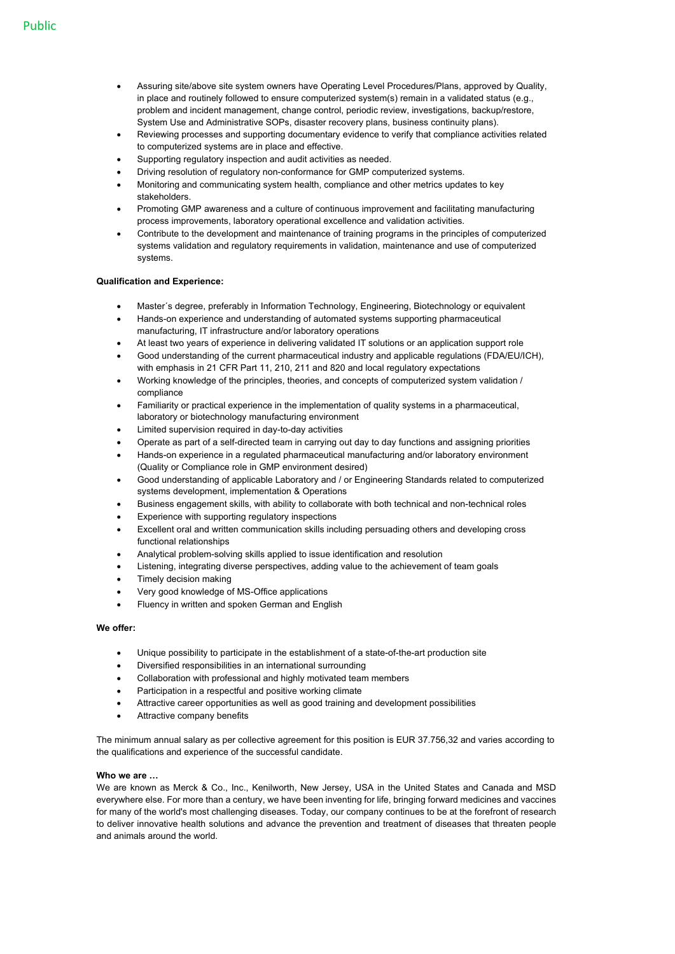- Assuring site/above site system owners have Operating Level Procedures/Plans, approved by Quality, in place and routinely followed to ensure computerized system(s) remain in a validated status (e.g., problem and incident management, change control, periodic review, investigations, backup/restore, System Use and Administrative SOPs, disaster recovery plans, business continuity plans).
- Reviewing processes and supporting documentary evidence to verify that compliance activities related to computerized systems are in place and effective.
- Supporting regulatory inspection and audit activities as needed.
- Driving resolution of regulatory non-conformance for GMP computerized systems.
- Monitoring and communicating system health, compliance and other metrics updates to key stakeholders.
- Promoting GMP awareness and a culture of continuous improvement and facilitating manufacturing process improvements, laboratory operational excellence and validation activities.
- Contribute to the development and maintenance of training programs in the principles of computerized systems validation and regulatory requirements in validation, maintenance and use of computerized systems.

#### **Qualification and Experience:**

- Master´s degree, preferably in Information Technology, Engineering, Biotechnology or equivalent
- Hands-on experience and understanding of automated systems supporting pharmaceutical manufacturing, IT infrastructure and/or laboratory operations
- At least two years of experience in delivering validated IT solutions or an application support role
- Good understanding of the current pharmaceutical industry and applicable regulations (FDA/EU/ICH), with emphasis in 21 CFR Part 11, 210, 211 and 820 and local regulatory expectations
- Working knowledge of the principles, theories, and concepts of computerized system validation / compliance
- Familiarity or practical experience in the implementation of quality systems in a pharmaceutical, laboratory or biotechnology manufacturing environment
- Limited supervision required in day-to-day activities
- Operate as part of a self-directed team in carrying out day to day functions and assigning priorities
- Hands-on experience in a regulated pharmaceutical manufacturing and/or laboratory environment (Quality or Compliance role in GMP environment desired)
- Good understanding of applicable Laboratory and / or Engineering Standards related to computerized systems development, implementation & Operations
- Business engagement skills, with ability to collaborate with both technical and non-technical roles
- Experience with supporting regulatory inspections
- Excellent oral and written communication skills including persuading others and developing cross functional relationships
- Analytical problem-solving skills applied to issue identification and resolution
- Listening, integrating diverse perspectives, adding value to the achievement of team goals
- Timely decision making
- Very good knowledge of MS-Office applications
- Fluency in written and spoken German and English

## **We offer:**

- Unique possibility to participate in the establishment of a state-of-the-art production site
- Diversified responsibilities in an international surrounding
- Collaboration with professional and highly motivated team members
- Participation in a respectful and positive working climate
- Attractive career opportunities as well as good training and development possibilities
- Attractive company benefits

The minimum annual salary as per collective agreement for this position is EUR 37.756,32 and varies according to the qualifications and experience of the successful candidate.

#### **Who we are …**

We are known as Merck & Co., Inc., Kenilworth, New Jersey, USA in the United States and Canada and MSD everywhere else. For more than a century, we have been inventing for life, bringing forward medicines and vaccines for many of the world's most challenging diseases. Today, our company continues to be at the forefront of research to deliver innovative health solutions and advance the prevention and treatment of diseases that threaten people and animals around the world.